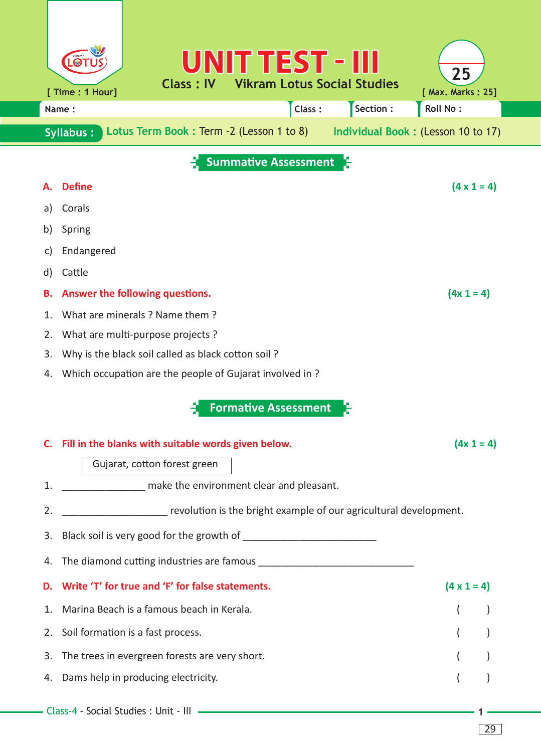|                                                                                                    | UNITTEST - III<br>Vikram's                                                                      | 25                 |  |  |  |  |  |  |  |  |  |  |
|----------------------------------------------------------------------------------------------------|-------------------------------------------------------------------------------------------------|--------------------|--|--|--|--|--|--|--|--|--|--|
|                                                                                                    | <b>Class: IV</b><br><b>Vikram Lotus Social Studies</b><br>[ Time : 1 Hour]<br>[ Max. Marks: 25] |                    |  |  |  |  |  |  |  |  |  |  |
|                                                                                                    | Section:<br><b>Roll No:</b><br>Class:<br>Name:                                                  |                    |  |  |  |  |  |  |  |  |  |  |
| Lotus Term Book: Term -2 (Lesson 1 to 8)<br>Individual Book: (Lesson 10 to 17)<br><b>Syllabus:</b> |                                                                                                 |                    |  |  |  |  |  |  |  |  |  |  |
| <b>Summative Assessment</b>                                                                        |                                                                                                 |                    |  |  |  |  |  |  |  |  |  |  |
|                                                                                                    | <b>Define</b>                                                                                   | $(4 \times 1 = 4)$ |  |  |  |  |  |  |  |  |  |  |
| a)                                                                                                 | Corals                                                                                          |                    |  |  |  |  |  |  |  |  |  |  |
| b)                                                                                                 | Spring                                                                                          |                    |  |  |  |  |  |  |  |  |  |  |
| C)                                                                                                 | Endangered                                                                                      |                    |  |  |  |  |  |  |  |  |  |  |
| d)                                                                                                 | Cattle                                                                                          |                    |  |  |  |  |  |  |  |  |  |  |
| в.                                                                                                 | Answer the following questions.                                                                 | $(4x 1 = 4)$       |  |  |  |  |  |  |  |  |  |  |
| 1.                                                                                                 | What are minerals ? Name them ?                                                                 |                    |  |  |  |  |  |  |  |  |  |  |
| 2.                                                                                                 | What are multi-purpose projects?                                                                |                    |  |  |  |  |  |  |  |  |  |  |
| 3.                                                                                                 | Why is the black soil called as black cotton soil?                                              |                    |  |  |  |  |  |  |  |  |  |  |
| 4.                                                                                                 | Which occupation are the people of Gujarat involved in?                                         |                    |  |  |  |  |  |  |  |  |  |  |
|                                                                                                    | <b>Formative Assessment</b>                                                                     |                    |  |  |  |  |  |  |  |  |  |  |
|                                                                                                    | C. Fill in the blanks with suitable words given below.                                          | $(4x 1 = 4)$       |  |  |  |  |  |  |  |  |  |  |
|                                                                                                    | Gujarat, cotton forest green                                                                    |                    |  |  |  |  |  |  |  |  |  |  |
| 1.                                                                                                 | _________________ make the environment clear and pleasant.                                      |                    |  |  |  |  |  |  |  |  |  |  |
| 2.                                                                                                 | ___________________ revolution is the bright example of our agricultural development.           |                    |  |  |  |  |  |  |  |  |  |  |
| 3.                                                                                                 |                                                                                                 |                    |  |  |  |  |  |  |  |  |  |  |
| 4.                                                                                                 |                                                                                                 |                    |  |  |  |  |  |  |  |  |  |  |
| D.                                                                                                 | Write 'T' for true and 'F' for false statements.                                                | $(4 \times 1 = 4)$ |  |  |  |  |  |  |  |  |  |  |
| 1.                                                                                                 | Marina Beach is a famous beach in Kerala.                                                       |                    |  |  |  |  |  |  |  |  |  |  |
| 2.                                                                                                 | Soil formation is a fast process.                                                               |                    |  |  |  |  |  |  |  |  |  |  |
| 3.                                                                                                 | The trees in evergreen forests are very short.                                                  |                    |  |  |  |  |  |  |  |  |  |  |
| 4.                                                                                                 | Dams help in producing electricity.                                                             |                    |  |  |  |  |  |  |  |  |  |  |
|                                                                                                    |                                                                                                 |                    |  |  |  |  |  |  |  |  |  |  |